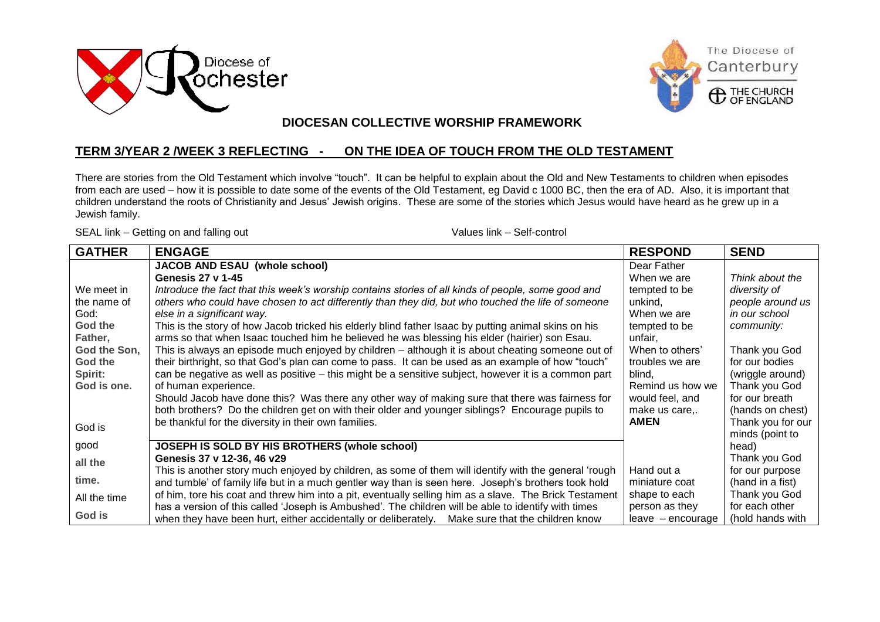





## $\overline{a}$  **DIOCESAN COLLECTIVE WORSHIP FRAMEWORK**

## **TERM 3/YEAR 2 /WEEK 3 REFLECTING - ON THE IDEA OF TOUCH FROM THE OLD TESTAMENT**

There are stories from the Old Testament which involve "touch". It can be helpful to explain about the Old and New Testaments to children when episodes from each are used – how it is possible to date some of the events of the Old Testament, eg David c 1000 BC, then the era of AD. Also, it is important that children understand the roots of Christianity and Jesus" Jewish origins. These are some of the stories which Jesus would have heard as he grew up in a Jewish family.

SEAL link – Getting on and falling out Values link – Self-control

| <b>GATHER</b> | <b>ENGAGE</b>                                                                                          | <b>RESPOND</b>    | <b>SEND</b>       |
|---------------|--------------------------------------------------------------------------------------------------------|-------------------|-------------------|
|               | <b>JACOB AND ESAU (whole school)</b>                                                                   | Dear Father       |                   |
|               | Genesis 27 v 1-45                                                                                      | When we are       | Think about the   |
| We meet in    | Introduce the fact that this week's worship contains stories of all kinds of people, some good and     | tempted to be     | diversity of      |
| the name of   | others who could have chosen to act differently than they did, but who touched the life of someone     | unkind,           | people around us  |
| God:          | else in a significant way.                                                                             | When we are       | in our school     |
| God the       | This is the story of how Jacob tricked his elderly blind father Isaac by putting animal skins on his   | tempted to be     | community:        |
| Father,       | arms so that when Isaac touched him he believed he was blessing his elder (hairier) son Esau.          | unfair,           |                   |
| God the Son,  | This is always an episode much enjoyed by children – although it is about cheating someone out of      | When to others'   | Thank you God     |
| God the       | their birthright, so that God's plan can come to pass. It can be used as an example of how "touch"     | troubles we are   | for our bodies    |
| Spirit:       | can be negative as well as positive – this might be a sensitive subject, however it is a common part   | blind.            | (wriggle around)  |
| God is one.   | of human experience.                                                                                   | Remind us how we  | Thank you God     |
|               | Should Jacob have done this? Was there any other way of making sure that there was fairness for        | would feel, and   | for our breath    |
|               | both brothers? Do the children get on with their older and younger siblings? Encourage pupils to       | make us care      | (hands on chest)  |
| God is        | be thankful for the diversity in their own families.                                                   | <b>AMEN</b>       | Thank you for our |
|               |                                                                                                        |                   | minds (point to   |
| good          | JOSEPH IS SOLD BY HIS BROTHERS (whole school)                                                          |                   | head)             |
| all the       | Genesis 37 v 12-36, 46 v29                                                                             |                   | Thank you God     |
|               | This is another story much enjoyed by children, as some of them will identify with the general 'rough  | Hand out a        | for our purpose   |
| time.         | and tumble' of family life but in a much gentler way than is seen here. Joseph's brothers took hold    | miniature coat    | (hand in a fist)  |
| All the time  | of him, tore his coat and threw him into a pit, eventually selling him as a slave. The Brick Testament | shape to each     | Thank you God     |
|               | has a version of this called 'Joseph is Ambushed'. The children will be able to identify with times    | person as they    | for each other    |
| God is        | when they have been hurt, either accidentally or deliberately. Make sure that the children know        | leave - encourage | (hold hands with  |